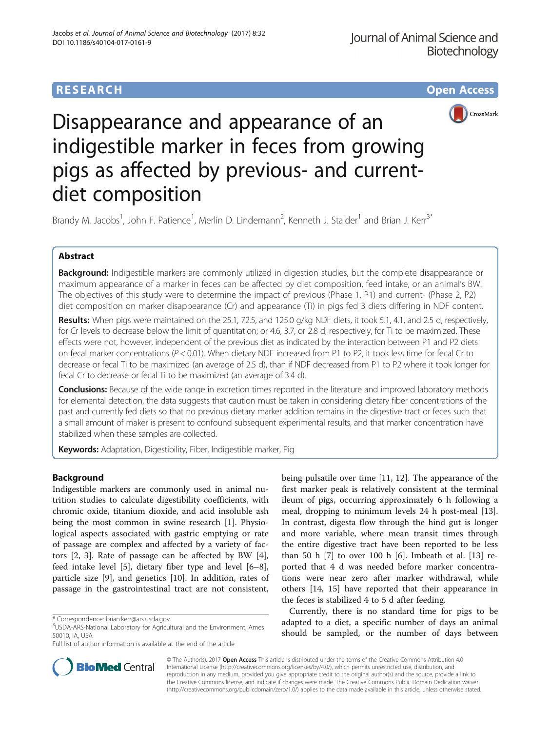# **RESEARCH CHILD CONTROL** CONTROL CONTROL CONTROL CONTROL CONTROL CONTROL CONTROL CONTROL CONTROL CONTROL CONTROL CONTROL CONTROL CONTROL CONTROL CONTROL CONTROL CONTROL CONTROL CONTROL CONTROL CONTROL CONTROL CONTROL CONTR



# Disappearance and appearance of an indigestible marker in feces from growing pigs as affected by previous- and currentdiet composition

Brandy M. Jacobs<sup>1</sup>, John F. Patience<sup>1</sup>, Merlin D. Lindemann<sup>2</sup>, Kenneth J. Stalder<sup>1</sup> and Brian J. Kerr<sup>3\*</sup>

# Abstract

Background: Indigestible markers are commonly utilized in digestion studies, but the complete disappearance or maximum appearance of a marker in feces can be affected by diet composition, feed intake, or an animal's BW. The objectives of this study were to determine the impact of previous (Phase 1, P1) and current- (Phase 2, P2) diet composition on marker disappearance (Cr) and appearance (Ti) in pigs fed 3 diets differing in NDF content.

Results: When pigs were maintained on the 25.1, 72.5, and 125.0 g/kg NDF diets, it took 5.1, 4.1, and 2.5 d, respectively, for Cr levels to decrease below the limit of quantitation; or 4.6, 3.7, or 2.8 d, respectively, for Ti to be maximized. These effects were not, however, independent of the previous diet as indicated by the interaction between P1 and P2 diets on fecal marker concentrations ( $P < 0.01$ ). When dietary NDF increased from P1 to P2, it took less time for fecal Cr to decrease or fecal Ti to be maximized (an average of 2.5 d), than if NDF decreased from P1 to P2 where it took longer for fecal Cr to decrease or fecal Ti to be maximized (an average of 3.4 d).

**Conclusions:** Because of the wide range in excretion times reported in the literature and improved laboratory methods for elemental detection, the data suggests that caution must be taken in considering dietary fiber concentrations of the past and currently fed diets so that no previous dietary marker addition remains in the digestive tract or feces such that a small amount of maker is present to confound subsequent experimental results, and that marker concentration have stabilized when these samples are collected.

Keywords: Adaptation, Digestibility, Fiber, Indigestible marker, Pig

# Background

Indigestible markers are commonly used in animal nutrition studies to calculate digestibility coefficients, with chromic oxide, titanium dioxide, and acid insoluble ash being the most common in swine research [[1\]](#page-7-0). Physiological aspects associated with gastric emptying or rate of passage are complex and affected by a variety of factors [[2, 3\]](#page-7-0). Rate of passage can be affected by BW [\[4](#page-7-0)], feed intake level [\[5\]](#page-7-0), dietary fiber type and level [\[6](#page-7-0)–[8](#page-7-0)], particle size [\[9](#page-7-0)], and genetics [\[10\]](#page-7-0). In addition, rates of passage in the gastrointestinal tract are not consistent,

being pulsatile over time [[11, 12\]](#page-7-0). The appearance of the first marker peak is relatively consistent at the terminal ileum of pigs, occurring approximately 6 h following a meal, dropping to minimum levels 24 h post-meal [\[13](#page-7-0)]. In contrast, digesta flow through the hind gut is longer and more variable, where mean transit times through the entire digestive tract have been reported to be less than 50 h [\[7](#page-7-0)] to over 100 h [\[6](#page-7-0)]. Imbeath et al. [[13\]](#page-7-0) reported that 4 d was needed before marker concentrations were near zero after marker withdrawal, while others [\[14, 15\]](#page-8-0) have reported that their appearance in the feces is stabilized 4 to 5 d after feeding.

Currently, there is no standard time for pigs to be adapted to a diet, a specific number of days an animal should be sampled, or the number of days between



© The Author(s). 2017 **Open Access** This article is distributed under the terms of the Creative Commons Attribution 4.0 International License [\(http://creativecommons.org/licenses/by/4.0/](http://creativecommons.org/licenses/by/4.0/)), which permits unrestricted use, distribution, and reproduction in any medium, provided you give appropriate credit to the original author(s) and the source, provide a link to the Creative Commons license, and indicate if changes were made. The Creative Commons Public Domain Dedication waiver [\(http://creativecommons.org/publicdomain/zero/1.0/](http://creativecommons.org/publicdomain/zero/1.0/)) applies to the data made available in this article, unless otherwise stated.

<sup>\*</sup> Correspondence: [brian.kerr@ars.usda.gov](mailto:brian.kerr@ars.usda.gov) <sup>3</sup>

USDA-ARS-National Laboratory for Agricultural and the Environment, Ames 50010, IA, USA

Full list of author information is available at the end of the article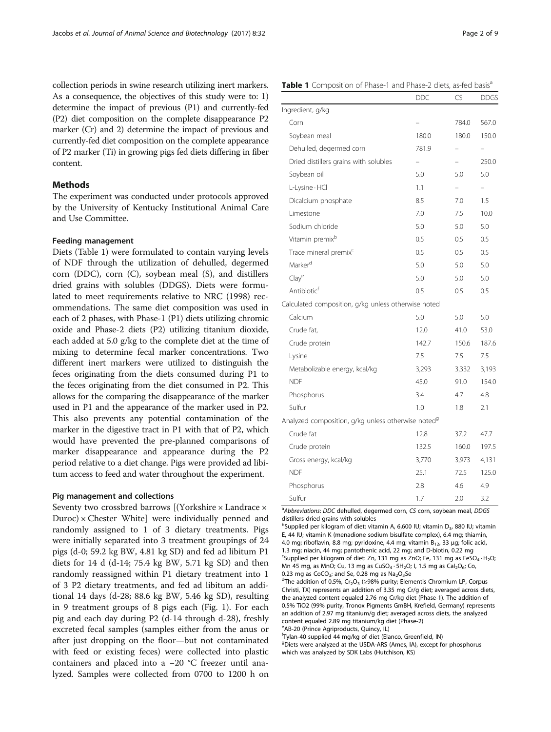<span id="page-1-0"></span>collection periods in swine research utilizing inert markers. As a consequence, the objectives of this study were to: 1) determine the impact of previous (P1) and currently-fed (P2) diet composition on the complete disappearance P2 marker (Cr) and 2) determine the impact of previous and currently-fed diet composition on the complete appearance of P2 marker (Ti) in growing pigs fed diets differing in fiber content.

# Methods

The experiment was conducted under protocols approved by the University of Kentucky Institutional Animal Care and Use Committee.

## Feeding management

Diets (Table 1) were formulated to contain varying levels of NDF through the utilization of dehulled, degermed corn (DDC), corn (C), soybean meal (S), and distillers dried grains with solubles (DDGS). Diets were formulated to meet requirements relative to NRC (1998) recommendations. The same diet composition was used in each of 2 phases, with Phase-1 (P1) diets utilizing chromic oxide and Phase-2 diets (P2) utilizing titanium dioxide, each added at 5.0 g/kg to the complete diet at the time of mixing to determine fecal marker concentrations. Two different inert markers were utilized to distinguish the feces originating from the diets consumed during P1 to the feces originating from the diet consumed in P2. This allows for the comparing the disappearance of the marker used in P1 and the appearance of the marker used in P2. This also prevents any potential contamination of the marker in the digestive tract in P1 with that of P2, which would have prevented the pre-planned comparisons of marker disappearance and appearance during the P2 period relative to a diet change. Pigs were provided ad libitum access to feed and water throughout the experiment.

# Pig management and collections

Seventy two crossbred barrows [(Yorkshire × Landrace ×  $Duroc)$  × Chester White] were individually penned and randomly assigned to 1 of 3 dietary treatments. Pigs were initially separated into 3 treatment groupings of 24 pigs (d-0; 59.2 kg BW, 4.81 kg SD) and fed ad libitum P1 diets for 14 d (d-14; 75.4 kg BW, 5.71 kg SD) and then randomly reassigned within P1 dietary treatment into 1 of 3 P2 dietary treatments, and fed ad libitum an additional 14 days (d-28; 88.6 kg BW, 5.46 kg SD), resulting in 9 treatment groups of 8 pigs each (Fig. [1\)](#page-2-0). For each pig and each day during P2 (d-14 through d-28), freshly excreted fecal samples (samples either from the anus or after just dropping on the floor—but not contaminated with feed or existing feces) were collected into plastic containers and placed into a −20 °C freezer until analyzed. Samples were collected from 0700 to 1200 h on

# Table 1 Composition of Phase-1 and Phase-2 diets, as-fed basis<sup>a</sup>

|                                                                | <b>DDC</b> | CS                       | <b>DDGS</b>              |
|----------------------------------------------------------------|------------|--------------------------|--------------------------|
| Ingredient, g/kg                                               |            |                          |                          |
| Corn                                                           |            | 784.0                    | 567.0                    |
| Soybean meal                                                   | 180.0      | 180.0                    | 150.0                    |
| Dehulled, degermed corn                                        | 781.9      | -                        |                          |
| Dried distillers grains with solubles                          |            |                          | 250.0                    |
| Soybean oil                                                    | 5.0        | 5.0                      | 5.0                      |
| L-Lysine · HCl                                                 | 1.1        | $\overline{\phantom{0}}$ | $\overline{\phantom{0}}$ |
| Dicalcium phosphate                                            | 8.5        | 7.0                      | 1.5                      |
| Limestone                                                      | 7.0        | 7.5                      | 10.0                     |
| Sodium chloride                                                | 5.0        | 5.0                      | 5.0                      |
| Vitamin premix <sup>b</sup>                                    | 0.5        | 0.5                      | 0.5                      |
| Trace mineral premix <sup>c</sup>                              | 0.5        | 0.5                      | 0.5                      |
| Marker <sup>d</sup>                                            | 5.0        | 5.0                      | 5.0                      |
| Clay <sup>e</sup>                                              | 5.0        | 5.0                      | 5.0                      |
| Antibiotic <sup>f</sup>                                        | 0.5        | 0.5                      | 0.5                      |
| Calculated composition, g/kg unless otherwise noted            |            |                          |                          |
| Calcium                                                        | 5.0        | 5.0                      | 5.0                      |
| Crude fat,                                                     | 12.0       | 41.0                     | 53.0                     |
| Crude protein                                                  | 142.7      | 150.6                    | 187.6                    |
| Lysine                                                         | 7.5        | 7.5                      | 7.5                      |
| Metabolizable energy, kcal/kg                                  | 3,293      | 3,332                    | 3,193                    |
| <b>NDF</b>                                                     | 45.0       | 91.0                     | 154.0                    |
| Phosphorus                                                     | 3.4        | 4.7                      | 4.8                      |
| Sulfur                                                         | 1.0        | 1.8                      | 2.1                      |
| Analyzed composition, g/kg unless otherwise noted <sup>9</sup> |            |                          |                          |
| Crude fat                                                      | 12.8       | 37.2                     | 47.7                     |
| Crude protein                                                  | 132.5      | 160.0                    | 197.5                    |
| Gross energy, kcal/kg                                          | 3,770      | 3,973                    | 4,131                    |
| <b>NDF</b>                                                     | 25.1       | 72.5                     | 125.0                    |
| Phosphorus                                                     | 2.8        | 4.6                      | 4.9                      |
| Sulfur                                                         | 1.7        | 2.0                      | 3.2                      |

<sup>a</sup>Abbreviations: DDC dehulled, degermed corn, CS corn, soybean meal, DDGS distillers dried grains with solubles

<sup>b</sup>Supplied per kilogram of diet: vitamin A, 6,600 IU; vitamin D<sub>3</sub>, 880 IU; vitamin E, 44 IU; vitamin K (menadione sodium bisulfate complex), 6.4 mg; thiamin, 4.0 mg; riboflavin, 8.8 mg; pyridoxine, 4.4 mg; vitamin  $B_{12}$ , 33 μg; folic acid, 1.3 mg; niacin, 44 mg; pantothenic acid, 22 mg; and D-biotin, 0.22 mg <sup>c</sup>Supplied per kilogram of diet: Zn, 131 mg as ZnO; Fe, 131 mg as FeSO<sub>4</sub> · H<sub>2</sub>O; Mn 45 mg, as MnO; Cu, 13 mg as CuSO<sub>4</sub> · 5H<sub>2</sub>O; l, 1.5 mg as Cal<sub>2</sub>O<sub>6</sub>; Co, 0.23 mg as  $CoCO<sub>3</sub>$ ; and Se, 0.28 mg as  $Na<sub>2</sub>O<sub>3</sub>Se$ 

<sup>d</sup>The addition of 0.5%, Cr<sub>2</sub>O<sub>3</sub> ( $\geq$ 98% purity; Elementis Chromium LP, Corpus Christi, TX) represents an addition of 3.35 mg Cr/g diet; averaged across diets, the analyzed content equaled 2.76 mg Cr/kg diet (Phase-1). The addition of 0.5% TiO2 (99% purity, Tronox Pigments GmBH, Krefield, Germany) represents an addition of 2.97 mg titanium/g diet; averaged across diets, the analyzed content equaled 2.89 mg titanium/kg diet (Phase-2)

eAB-20 (Prince Agriproducts, Quincy, IL)

f Tylan-40 supplied 44 mg/kg of diet (Elanco, Greenfield, IN) g Diets were analyzed at the USDA-ARS (Ames, IA), except for phosphorus which was analyzed by SDK Labs (Hutchison, KS)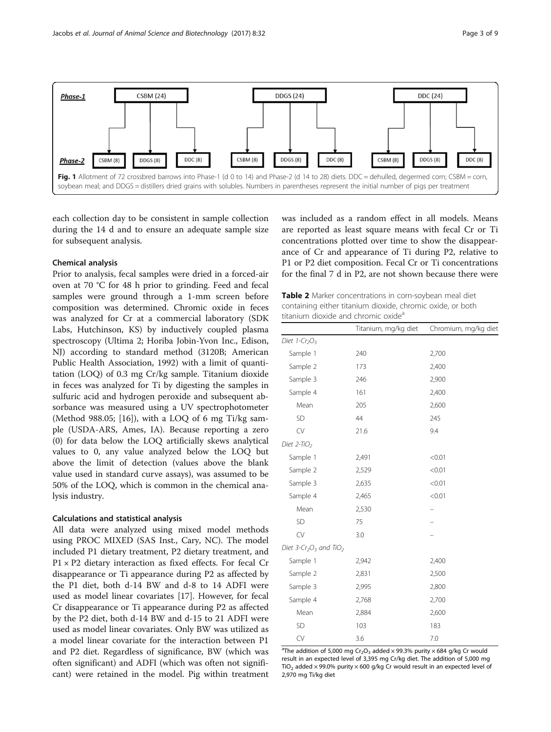<span id="page-2-0"></span>

each collection day to be consistent in sample collection during the 14 d and to ensure an adequate sample size for subsequent analysis.

## Chemical analysis

Prior to analysis, fecal samples were dried in a forced-air oven at 70 °C for 48 h prior to grinding. Feed and fecal samples were ground through a 1-mm screen before composition was determined. Chromic oxide in feces was analyzed for Cr at a commercial laboratory (SDK Labs, Hutchinson, KS) by inductively coupled plasma spectroscopy (Ultima 2; Horiba Jobin-Yvon Inc., Edison, NJ) according to standard method (3120B; American Public Health Association, 1992) with a limit of quantitation (LOQ) of 0.3 mg Cr/kg sample. Titanium dioxide in feces was analyzed for Ti by digesting the samples in sulfuric acid and hydrogen peroxide and subsequent absorbance was measured using a UV spectrophotometer (Method 988.05; [[16](#page-8-0)]), with a LOQ of 6 mg Ti/kg sample (USDA-ARS, Ames, IA). Because reporting a zero (0) for data below the LOQ artificially skews analytical values to 0, any value analyzed below the LOQ but above the limit of detection (values above the blank value used in standard curve assays), was assumed to be 50% of the LOQ, which is common in the chemical analysis industry.

# Calculations and statistical analysis

All data were analyzed using mixed model methods using PROC MIXED (SAS Inst., Cary, NC). The model included P1 dietary treatment, P2 dietary treatment, and  $P1 \times P2$  dietary interaction as fixed effects. For fecal Cr disappearance or Ti appearance during P2 as affected by the P1 diet, both d-14 BW and d-8 to 14 ADFI were used as model linear covariates [\[17](#page-8-0)]. However, for fecal Cr disappearance or Ti appearance during P2 as affected by the P2 diet, both d-14 BW and d-15 to 21 ADFI were used as model linear covariates. Only BW was utilized as a model linear covariate for the interaction between P1 and P2 diet. Regardless of significance, BW (which was often significant) and ADFI (which was often not significant) were retained in the model. Pig within treatment was included as a random effect in all models. Means are reported as least square means with fecal Cr or Ti concentrations plotted over time to show the disappearance of Cr and appearance of Ti during P2, relative to P1 or P2 diet composition. Fecal Cr or Ti concentrations for the final 7 d in P2, are not shown because there were

Table 2 Marker concentrations in corn-soybean meal diet containing either titanium dioxide, chromic oxide, or both titanium dioxide and chromic oxide<sup>a</sup>

|                                                            | Titanium, mg/kg diet | Chromium, mg/kg diet |
|------------------------------------------------------------|----------------------|----------------------|
| Diet 1-Cr <sub>2</sub> O <sub>3</sub>                      |                      |                      |
| Sample 1                                                   | 240                  | 2,700                |
| Sample 2                                                   | 173                  | 2,400                |
| Sample 3                                                   | 246                  | 2,900                |
| Sample 4                                                   | 161                  | 2,400                |
| Mean                                                       | 205                  | 2,600                |
| SD                                                         | 44                   | 245                  |
| CV                                                         | 21.6                 | 9.4                  |
| Diet $2$ -TiO <sub>2</sub>                                 |                      |                      |
| Sample 1                                                   | 2,491                | < 0.01               |
| Sample 2                                                   | 2,529                | < 0.01               |
| Sample 3                                                   | 2,635                | < 0.01               |
| Sample 4                                                   | 2,465                | < 0.01               |
| Mean                                                       | 2,530                |                      |
| SD                                                         | 75                   |                      |
| CV                                                         | 3.0                  |                      |
| Diet 3-Cr <sub>2</sub> O <sub>3</sub> and TiO <sub>2</sub> |                      |                      |
| Sample 1                                                   | 2,942                | 2,400                |
| Sample 2                                                   | 2,831                | 2,500                |
| Sample 3                                                   | 2,995                | 2,800                |
| Sample 4                                                   | 2,768                | 2,700                |
| Mean                                                       | 2,884                | 2,600                |
| SD                                                         | 103                  | 183                  |
| CV                                                         | 3.6                  | 7.0                  |

<sup>a</sup>The addition of 5,000 mg Cr<sub>2</sub>O<sub>3</sub> added  $\times$  99.3% purity  $\times$  684 g/kg Cr would result in an expected level of 3,395 mg Cr/kg diet. The addition of 5,000 mg TiO<sub>2</sub> added  $\times$  99.0% purity  $\times$  600 g/kg Cr would result in an expected level of 2,970 mg Ti/kg diet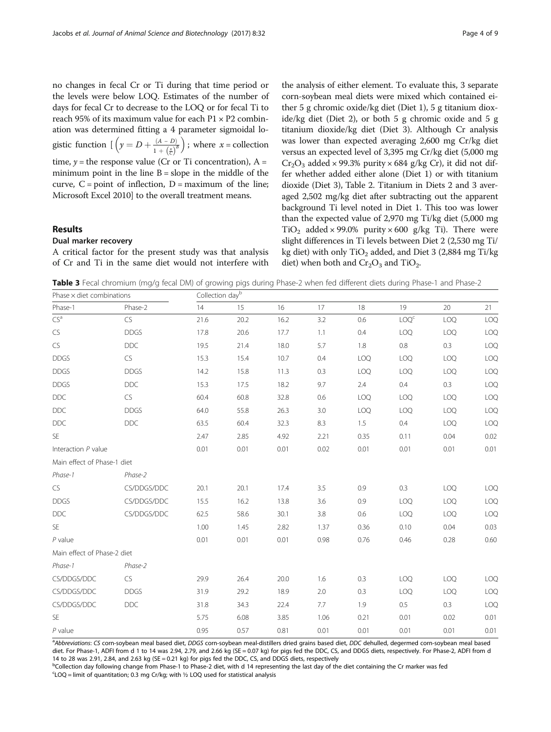<span id="page-3-0"></span>no changes in fecal Cr or Ti during that time period or the levels were below LOQ. Estimates of the number of days for fecal Cr to decrease to the LOQ or for fecal Ti to reach 95% of its maximum value for each  $P1 \times P2$  combination was determined fitting a 4 parameter sigmoidal logistic function  $\left[ \left( y = D + \frac{(A - D)}{1 + \left( \frac{x}{C} \right)^B} \right) \right]$ ; where  $x =$  collection time,  $y =$  the response value (Cr or Ti concentration), A = minimum point in the line  $B = slope$  in the middle of the curve,  $C = point$  of inflection,  $D = maximum$  of the line; Microsoft Excel 2010] to the overall treatment means.

# Results

### Dual marker recovery

A critical factor for the present study was that analysis of Cr and Ti in the same diet would not interfere with

the analysis of either element. To evaluate this, 3 separate corn-soybean meal diets were mixed which contained either 5 g chromic oxide/kg diet (Diet 1), 5 g titanium dioxide/kg diet (Diet 2), or both 5 g chromic oxide and 5 g titanium dioxide/kg diet (Diet 3). Although Cr analysis was lower than expected averaging 2,600 mg Cr/kg diet versus an expected level of 3,395 mg Cr/kg diet (5,000 mg  $Cr_2O_3$  added × 99.3% purity × 684 g/kg Cr), it did not differ whether added either alone (Diet 1) or with titanium dioxide (Diet 3), Table [2](#page-2-0). Titanium in Diets 2 and 3 averaged 2,502 mg/kg diet after subtracting out the apparent background Ti level noted in Diet 1. This too was lower than the expected value of 2,970 mg Ti/kg diet (5,000 mg TiO<sub>2</sub> added × 99.0% purity × 600 g/kg Ti). There were slight differences in Ti levels between Diet 2 (2,530 mg Ti/ kg diet) with only  $TiO<sub>2</sub>$  added, and Diet 3 (2,884 mg Ti/kg diet) when both and  $Cr_2O_3$  and  $TiO_2$ .

Table 3 Fecal chromium (mg/g fecal DM) of growing pigs during Phase-2 when fed different diets during Phase-1 and Phase-2

| Phase $\times$ diet combinations |             | Collection dayb |      |      |      |      |                  |            |      |  |
|----------------------------------|-------------|-----------------|------|------|------|------|------------------|------------|------|--|
| Phase-1                          | Phase-2     | 14              | 15   | 16   | 17   | 18   | 19               | $20\,$     | 21   |  |
| CS <sup>a</sup>                  | CS          | 21.6            | 20.2 | 16.2 | 3.2  | 0.6  | LOQ <sup>c</sup> | LOQ        | LOQ  |  |
| ${\sf CS}$                       | <b>DDGS</b> | 17.8            | 20.6 | 17.7 | 1.1  | 0.4  | LOQ              | LOQ        | LOQ  |  |
| ${\sf CS}$                       | DDC         | 19.5            | 21.4 | 18.0 | 5.7  | 1.8  | 0.8              | 0.3        | LOQ  |  |
| <b>DDGS</b>                      | ${\sf CS}$  | 15.3            | 15.4 | 10.7 | 0.4  | LOQ  | LOQ              | <b>LOQ</b> | LOQ  |  |
| <b>DDGS</b>                      | <b>DDGS</b> | 14.2            | 15.8 | 11.3 | 0.3  | LOQ  | LOQ              | <b>LOQ</b> | LOQ  |  |
| <b>DDGS</b>                      | <b>DDC</b>  | 15.3            | 17.5 | 18.2 | 9.7  | 2.4  | 0.4              | 0.3        | LOQ  |  |
| DDC                              | ${\sf CS}$  | 60.4            | 60.8 | 32.8 | 0.6  | LOQ  | LOQ              | <b>LOQ</b> | LOQ  |  |
| $\mathsf{DDC}$                   | <b>DDGS</b> | 64.0            | 55.8 | 26.3 | 3.0  | LOQ  | <b>LOQ</b>       | <b>LOQ</b> | LOQ  |  |
| <b>DDC</b>                       | <b>DDC</b>  | 63.5            | 60.4 | 32.3 | 8.3  | 1.5  | 0.4              | <b>LOQ</b> | LOQ  |  |
| SE                               |             | 2.47            | 2.85 | 4.92 | 2.21 | 0.35 | 0.11             | 0.04       | 0.02 |  |
| Interaction P value              |             | 0.01            | 0.01 | 0.01 | 0.02 | 0.01 | 0.01             | 0.01       | 0.01 |  |
| Main effect of Phase-1 diet      |             |                 |      |      |      |      |                  |            |      |  |
| Phase-1                          | Phase-2     |                 |      |      |      |      |                  |            |      |  |
| <b>CS</b>                        | CS/DDGS/DDC | 20.1            | 20.1 | 17.4 | 3.5  | 0.9  | 0.3              | <b>LOQ</b> | LOQ  |  |
| <b>DDGS</b>                      | CS/DDGS/DDC | 15.5            | 16.2 | 13.8 | 3.6  | 0.9  | LOQ              | <b>LOQ</b> | LOQ  |  |
| <b>DDC</b>                       | CS/DDGS/DDC | 62.5            | 58.6 | 30.1 | 3.8  | 0.6  | LOQ              | LOQ        | LOQ  |  |
| <b>SE</b>                        |             | 1.00            | 1.45 | 2.82 | 1.37 | 0.36 | 0.10             | 0.04       | 0.03 |  |
| $P$ value                        |             | 0.01            | 0.01 | 0.01 | 0.98 | 0.76 | 0.46             | 0.28       | 0.60 |  |
| Main effect of Phase-2 diet      |             |                 |      |      |      |      |                  |            |      |  |
| Phase-1                          | Phase-2     |                 |      |      |      |      |                  |            |      |  |
| CS/DDGS/DDC                      | <b>CS</b>   | 29.9            | 26.4 | 20.0 | 1.6  | 0.3  | LOQ              | <b>LOQ</b> | LOQ  |  |
| CS/DDGS/DDC                      | <b>DDGS</b> | 31.9            | 29.2 | 18.9 | 2.0  | 0.3  | LOQ              | <b>LOQ</b> | LOQ  |  |
| CS/DDGS/DDC                      | <b>DDC</b>  | 31.8            | 34.3 | 22.4 | 7.7  | 1.9  | 0.5              | 0.3        | LOQ  |  |
| SE                               |             | 5.75            | 6.08 | 3.85 | 1.06 | 0.21 | 0.01             | 0.02       | 0.01 |  |
| $P$ value                        |             | 0.95            | 0.57 | 0.81 | 0.01 | 0.01 | 0.01             | 0.01       | 0.01 |  |

a<br>Abbreviations: CS corn-soybean meal based diet, DDGS corn-soybean meal-distillers dried grains based diet, DDC dehulled, degermed corn-soybean meal based diet. For Phase-1, ADFI from d 1 to 14 was 2.94, 2.79, and 2.66 kg (SE = 0.07 kg) for pigs fed the DDC, CS, and DDGS diets, respectively. For Phase-2, ADFI from d 14 to 28 was 2.91, 2.84, and 2.63 kg (SE = 0.21 kg) for pigs fed the DDC, CS, and DDGS diets, respectively

b<br>
<sup>b</sup>Collection day following change from Phase-1 to Phase-2 diet, with d 14 representing the last day of the diet containing the Cr marker was fed  $c$ LOQ = limit of quantitation; 0.3 mg Cr/kg; with ½ LOQ used for statistical analysis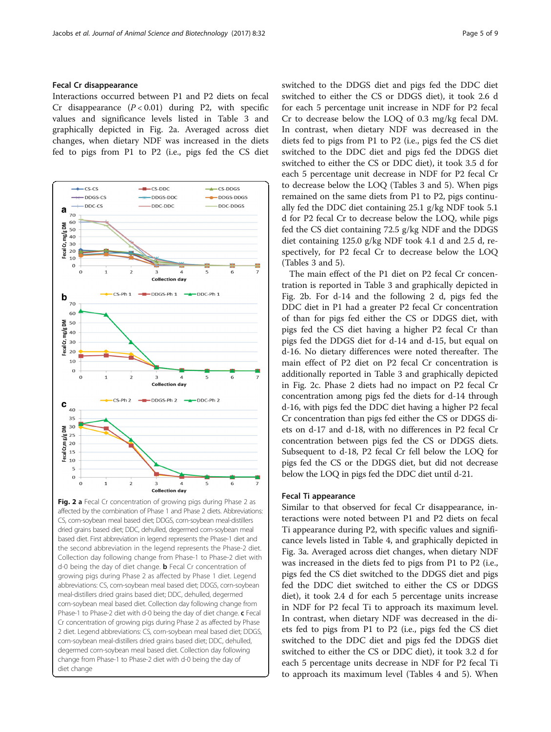# Fecal Cr disappearance

Interactions occurred between P1 and P2 diets on fecal Cr disappearance  $(P < 0.01)$  during P2, with specific values and significance levels listed in Table [3](#page-3-0) and graphically depicted in Fig. 2a. Averaged across diet changes, when dietary NDF was increased in the diets fed to pigs from P1 to P2 (i.e., pigs fed the CS diet



Fig. 2 a Fecal Cr concentration of growing pigs during Phase 2 as affected by the combination of Phase 1 and Phase 2 diets. Abbreviations: CS, corn-soybean meal based diet; DDGS, corn-soybean meal-distillers dried grains based diet; DDC, dehulled, degermed corn-soybean meal based diet. First abbreviation in legend represents the Phase-1 diet and the second abbreviation in the legend represents the Phase-2 diet. Collection day following change from Phase-1 to Phase-2 diet with d-0 being the day of diet change. **b** Fecal Cr concentration of growing pigs during Phase 2 as affected by Phase 1 diet. Legend abbreviations: CS, corn-soybean meal based diet; DDGS, corn-soybean meal-distillers dried grains based diet; DDC, dehulled, degermed corn-soybean meal based diet. Collection day following change from Phase-1 to Phase-2 diet with d-0 being the day of diet change. c Fecal Cr concentration of growing pigs during Phase 2 as affected by Phase 2 diet. Legend abbreviations: CS, corn-soybean meal based diet; DDGS, corn-soybean meal-distillers dried grains based diet; DDC, dehulled, degermed corn-soybean meal based diet. Collection day following change from Phase-1 to Phase-2 diet with d-0 being the day of diet change

switched to the DDGS diet and pigs fed the DDC diet switched to either the CS or DDGS diet), it took 2.6 d for each 5 percentage unit increase in NDF for P2 fecal Cr to decrease below the LOQ of 0.3 mg/kg fecal DM. In contrast, when dietary NDF was decreased in the diets fed to pigs from P1 to P2 (i.e., pigs fed the CS diet switched to the DDC diet and pigs fed the DDGS diet switched to either the CS or DDC diet), it took 3.5 d for each 5 percentage unit decrease in NDF for P2 fecal Cr to decrease below the LOQ (Tables [3](#page-3-0) and [5](#page-6-0)). When pigs remained on the same diets from P1 to P2, pigs continually fed the DDC diet containing 25.1 g/kg NDF took 5.1 d for P2 fecal Cr to decrease below the LOQ, while pigs fed the CS diet containing 72.5 g/kg NDF and the DDGS diet containing 125.0 g/kg NDF took 4.1 d and 2.5 d, respectively, for P2 fecal Cr to decrease below the LOQ (Tables [3](#page-3-0) and [5\)](#page-6-0).

The main effect of the P1 diet on P2 fecal Cr concentration is reported in Table [3](#page-3-0) and graphically depicted in Fig. 2b. For d-14 and the following 2 d, pigs fed the DDC diet in P1 had a greater P2 fecal Cr concentration of than for pigs fed either the CS or DDGS diet, with pigs fed the CS diet having a higher P2 fecal Cr than pigs fed the DDGS diet for d-14 and d-15, but equal on d-16. No dietary differences were noted thereafter. The main effect of P2 diet on P2 fecal Cr concentration is additionally reported in Table [3](#page-3-0) and graphically depicted in Fig. 2c. Phase 2 diets had no impact on P2 fecal Cr concentration among pigs fed the diets for d-14 through d-16, with pigs fed the DDC diet having a higher P2 fecal Cr concentration than pigs fed either the CS or DDGS diets on d-17 and d-18, with no differences in P2 fecal Cr concentration between pigs fed the CS or DDGS diets. Subsequent to d-18, P2 fecal Cr fell below the LOQ for pigs fed the CS or the DDGS diet, but did not decrease below the LOQ in pigs fed the DDC diet until d-21.

## Fecal Ti appearance

Similar to that observed for fecal Cr disappearance, interactions were noted between P1 and P2 diets on fecal Ti appearance during P2, with specific values and significance levels listed in Table [4](#page-5-0), and graphically depicted in Fig. [3a.](#page-6-0) Averaged across diet changes, when dietary NDF was increased in the diets fed to pigs from P1 to P2 (i.e., pigs fed the CS diet switched to the DDGS diet and pigs fed the DDC diet switched to either the CS or DDGS diet), it took 2.4 d for each 5 percentage units increase in NDF for P2 fecal Ti to approach its maximum level. In contrast, when dietary NDF was decreased in the diets fed to pigs from P1 to P2 (i.e., pigs fed the CS diet switched to the DDC diet and pigs fed the DDGS diet switched to either the CS or DDC diet), it took 3.2 d for each 5 percentage units decrease in NDF for P2 fecal Ti to approach its maximum level (Tables [4](#page-5-0) and [5](#page-6-0)). When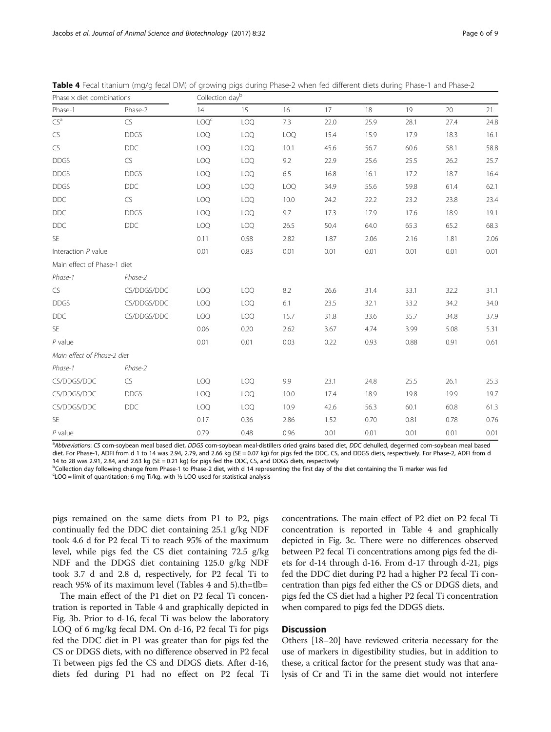| Phase $\times$ diet combinations |             | Collection dayb  |            |      |      |      |      |      |      |
|----------------------------------|-------------|------------------|------------|------|------|------|------|------|------|
| Phase-1                          | Phase-2     | 14               | 15         | 16   | 17   | 18   | 19   | 20   | 21   |
| $CS^a$                           | CS          | LOQ <sup>c</sup> | LOQ        | 7.3  | 22.0 | 25.9 | 28.1 | 27.4 | 24.8 |
| CS                               | <b>DDGS</b> | <b>LOQ</b>       | LOQ        | LOQ  | 15.4 | 15.9 | 17.9 | 18.3 | 16.1 |
| ${\sf CS}$                       | <b>DDC</b>  | <b>LOQ</b>       | LOQ        | 10.1 | 45.6 | 56.7 | 60.6 | 58.1 | 58.8 |
| <b>DDGS</b>                      | ${\sf CS}$  | <b>LOQ</b>       | LOQ        | 9.2  | 22.9 | 25.6 | 25.5 | 26.2 | 25.7 |
| <b>DDGS</b>                      | <b>DDGS</b> | <b>LOQ</b>       | LOQ        | 6.5  | 16.8 | 16.1 | 17.2 | 18.7 | 16.4 |
| <b>DDGS</b>                      | <b>DDC</b>  | <b>LOQ</b>       | LOQ        | LOQ  | 34.9 | 55.6 | 59.8 | 61.4 | 62.1 |
| <b>DDC</b>                       | CS          | <b>LOQ</b>       | <b>LOQ</b> | 10.0 | 24.2 | 22.2 | 23.2 | 23.8 | 23.4 |
| <b>DDC</b>                       | <b>DDGS</b> | <b>LOQ</b>       | LOQ        | 9.7  | 17.3 | 17.9 | 17.6 | 18.9 | 19.1 |
| <b>DDC</b>                       | <b>DDC</b>  | <b>LOQ</b>       | LOQ        | 26.5 | 50.4 | 64.0 | 65.3 | 65.2 | 68.3 |
| SE                               |             | 0.11             | 0.58       | 2.82 | 1.87 | 2.06 | 2.16 | 1.81 | 2.06 |
| Interaction $P$ value            |             | 0.01             | 0.83       | 0.01 | 0.01 | 0.01 | 0.01 | 0.01 | 0.01 |
| Main effect of Phase-1 diet      |             |                  |            |      |      |      |      |      |      |
| Phase-1                          | Phase-2     |                  |            |      |      |      |      |      |      |
| ${\sf CS}$                       | CS/DDGS/DDC | <b>LOQ</b>       | LOQ        | 8.2  | 26.6 | 31.4 | 33.1 | 32.2 | 31.1 |
| <b>DDGS</b>                      | CS/DDGS/DDC | <b>LOQ</b>       | LOQ        | 6.1  | 23.5 | 32.1 | 33.2 | 34.2 | 34.0 |
| <b>DDC</b>                       | CS/DDGS/DDC | <b>LOQ</b>       | <b>LOQ</b> | 15.7 | 31.8 | 33.6 | 35.7 | 34.8 | 37.9 |
| SE                               |             | 0.06             | 0.20       | 2.62 | 3.67 | 4.74 | 3.99 | 5.08 | 5.31 |
| $P$ value                        |             | 0.01             | 0.01       | 0.03 | 0.22 | 0.93 | 0.88 | 0.91 | 0.61 |
| Main effect of Phase-2 diet      |             |                  |            |      |      |      |      |      |      |
| Phase-1                          | Phase-2     |                  |            |      |      |      |      |      |      |
| CS/DDGS/DDC                      | CS          | <b>LOQ</b>       | LOQ        | 9.9  | 23.1 | 24.8 | 25.5 | 26.1 | 25.3 |
| CS/DDGS/DDC                      | <b>DDGS</b> | <b>LOQ</b>       | <b>LOQ</b> | 10.0 | 17.4 | 18.9 | 19.8 | 19.9 | 19.7 |
| CS/DDGS/DDC                      | <b>DDC</b>  | <b>LOQ</b>       | LOQ        | 10.9 | 42.6 | 56.3 | 60.1 | 60.8 | 61.3 |
| SE                               |             | 0.17             | 0.36       | 2.86 | 1.52 | 0.70 | 0.81 | 0.78 | 0.76 |
| $P$ value                        |             | 0.79             | 0.48       | 0.96 | 0.01 | 0.01 | 0.01 | 0.01 | 0.01 |

<span id="page-5-0"></span>Table 4 Fecal titanium (mg/g fecal DM) of growing pigs during Phase-2 when fed different diets during Phase-1 and Phase-2

a

a

abbreviations: CS corn-soybean meal based diet, DDGS corn-soybean meal-distillers dried grains based diet, DDC dehulled, degermed corn-soybean meal based diet. For Phase-1, ADFI from d 1 to 14 was 2.94, 2.79, and 2.66 kg (SE = 0.07 kg) for pigs fed the DDC, CS, and DDGS diets, respectively. For Phase-2, ADFI from d 14 to 28 was 2.91, 2.84, and 2.63 kg (SE = 0.21 kg) for pigs fed the DDC, CS, and DDGS diets, respectively

b<br>
<sup>b</sup>Collection day following change from Phase-1 to Phase-2 diet, with d 14 representing the first day of the diet containing the Ti marker was fed

 $c$ LOQ = limit of quantitation; 6 mg Ti/kg. with  $\frac{1}{2}$  LOQ used for statistical analysis

pigs remained on the same diets from P1 to P2, pigs continually fed the DDC diet containing 25.1 g/kg NDF took 4.6 d for P2 fecal Ti to reach 95% of the maximum level, while pigs fed the CS diet containing 72.5 g/kg NDF and the DDGS diet containing 125.0 g/kg NDF took 3.7 d and 2.8 d, respectively, for P2 fecal Ti to reach 95% of its maximum level (Tables 4 and [5\)](#page-6-0).th=tlb=

The main effect of the P1 diet on P2 fecal Ti concentration is reported in Table 4 and graphically depicted in Fig. [3b.](#page-6-0) Prior to d-16, fecal Ti was below the laboratory LOQ of 6 mg/kg fecal DM. On d-16, P2 fecal Ti for pigs fed the DDC diet in P1 was greater than for pigs fed the CS or DDGS diets, with no difference observed in P2 fecal Ti between pigs fed the CS and DDGS diets. After d-16, diets fed during P1 had no effect on P2 fecal Ti concentrations. The main effect of P2 diet on P2 fecal Ti concentration is reported in Table 4 and graphically depicted in Fig. [3c.](#page-6-0) There were no differences observed between P2 fecal Ti concentrations among pigs fed the diets for d-14 through d-16. From d-17 through d-21, pigs fed the DDC diet during P2 had a higher P2 fecal Ti concentration than pigs fed either the CS or DDGS diets, and pigs fed the CS diet had a higher P2 fecal Ti concentration when compared to pigs fed the DDGS diets.

# **Discussion**

Others [[18](#page-8-0)–[20](#page-8-0)] have reviewed criteria necessary for the use of markers in digestibility studies, but in addition to these, a critical factor for the present study was that analysis of Cr and Ti in the same diet would not interfere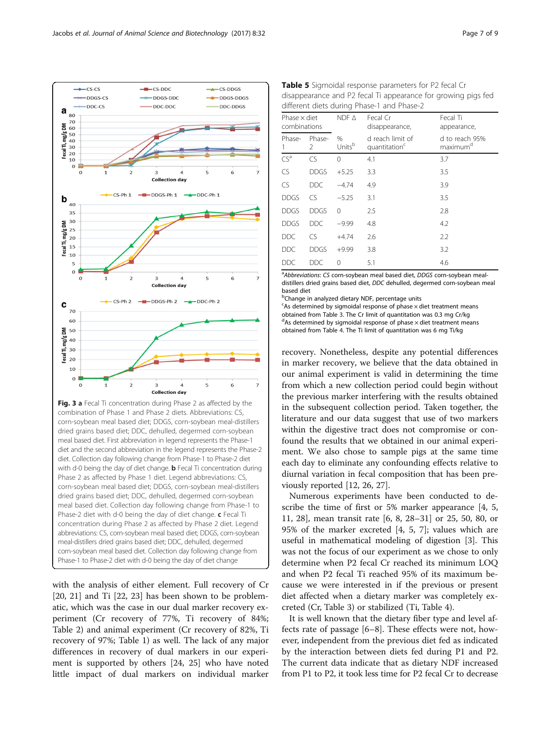with the analysis of either element. Full recovery of Cr diet and the second abbreviation in the legend represents the Phase-2 diet. Collection day following change from Phase-1 to Phase-2 diet with d-0 being the day of diet change. **b** Fecal Ti concentration during Phase 2 as affected by Phase 1 diet. Legend abbreviations: CS, corn-soybean meal based diet; DDGS, corn-soybean meal-distillers dried grains based diet; DDC, dehulled, degermed corn-soybean meal based diet. Collection day following change from Phase-1 to Phase-2 diet with d-0 being the day of diet change. c Fecal Ti concentration during Phase 2 as affected by Phase 2 diet. Legend abbreviations: CS, corn-soybean meal based diet; DDGS, corn-soybean meal-distillers dried grains based diet; DDC, dehulled, degermed corn-soybean meal based diet. Collection day following change from Phase-1 to Phase-2 diet with d-0 being the day of diet change

corn-soybean meal based diet; DDGS, corn-soybean meal-distillers dried grains based diet; DDC, dehulled, degermed corn-soybean meal based diet. First abbreviation in legend represents the Phase-1

[[20, 21](#page-8-0)] and Ti [\[22, 23](#page-8-0)] has been shown to be problematic, which was the case in our dual marker recovery experiment (Cr recovery of 77%, Ti recovery of 84%; Table [2](#page-2-0)) and animal experiment (Cr recovery of 82%, Ti recovery of 97%; Table [1\)](#page-1-0) as well. The lack of any major differences in recovery of dual markers in our experiment is supported by others [\[24](#page-8-0), [25\]](#page-8-0) who have noted little impact of dual markers on individual marker

<sup>a</sup>Abbreviations: CS corn-soybean meal based diet, DDGS corn-soybean mealdistillers dried grains based diet, DDC dehulled, degermed corn-soybean meal based diet

<sup>b</sup>Change in analyzed dietary NDF, percentage units

<sup>c</sup>As determined by sigmoidal response of phase x diet treatment means obtained from Table [3.](#page-3-0) The Cr limit of quantitation was 0.3 mg Cr/kg  $d$ As determined by sigmoidal response of phase  $\times$  diet treatment means obtained from Table [4.](#page-5-0) The Ti limit of quantitation was 6 mg Ti/kg

recovery. Nonetheless, despite any potential differences in marker recovery, we believe that the data obtained in our animal experiment is valid in determining the time from which a new collection period could begin without the previous marker interfering with the results obtained in the subsequent collection period. Taken together, the literature and our data suggest that use of two markers within the digestive tract does not compromise or confound the results that we obtained in our animal experiment. We also chose to sample pigs at the same time each day to eliminate any confounding effects relative to diurnal variation in fecal composition that has been previously reported [[12,](#page-7-0) [26, 27](#page-8-0)].

Numerous experiments have been conducted to describe the time of first or 5% marker appearance [\[4](#page-7-0), [5](#page-7-0), [11,](#page-7-0) [28](#page-8-0)], mean transit rate [\[6](#page-7-0), [8,](#page-7-0) [28](#page-8-0)–[31\]](#page-8-0) or 25, 50, 80, or 95% of the marker excreted [[4, 5](#page-7-0), [7](#page-7-0)]; values which are useful in mathematical modeling of digestion [[3\]](#page-7-0). This was not the focus of our experiment as we chose to only determine when P2 fecal Cr reached its minimum LOQ and when P2 fecal Ti reached 95% of its maximum because we were interested in if the previous or present diet affected when a dietary marker was completely excreted (Cr, Table [3](#page-3-0)) or stabilized (Ti, Table [4\)](#page-5-0).

It is well known that the dietary fiber type and level affects rate of passage [\[6](#page-7-0)–[8](#page-7-0)]. These effects were not, however, independent from the previous diet fed as indicated by the interaction between diets fed during P1 and P2. The current data indicate that as dietary NDF increased from P1 to P2, it took less time for P2 fecal Cr to decrease

| $\leftarrow$ CS-DDGS<br>$-DDGS-DDGS$<br>DDC-DDGS | Table 5 Sigmoidal response parameters for P2 fecal Cr<br>disappearance and P2 fecal Ti appearance for growing pigs fed<br>different diets during Phase-1 and Phase-2 |                                     |                            |                                               |                                        |  |  |  |
|--------------------------------------------------|----------------------------------------------------------------------------------------------------------------------------------------------------------------------|-------------------------------------|----------------------------|-----------------------------------------------|----------------------------------------|--|--|--|
|                                                  |                                                                                                                                                                      | Phase $\times$ diet<br>combinations |                            | Fecal Cr<br>disappearance,                    | Fecal Ti<br>appearance,                |  |  |  |
|                                                  | Phase-                                                                                                                                                               | Phase-                              | $\%$<br>Units <sup>b</sup> | d reach limit of<br>quantitation <sup>c</sup> | d to reach 95%<br>maximum <sup>d</sup> |  |  |  |

 $CS^a$  CS 0 4.1 3.7 CS DDGS +5.25 3.3 3.5 CS DDC −4.74 4.9 3.9 DDGS CS −5.25 3.1 3.5 DDGS DDGS 0 2.5 2.8 DDGS DDC −9.99 4.8 4.2 DDC CS +4.74 2.6 2.2 DDC DDGS +9.99 3.8 3.2 DDC DDC 0 5.1 4.6

1



 $cs$ -DDC

DDGS-DDC

<span id="page-6-0"></span> $-$ CS-CS

-DDGS-CS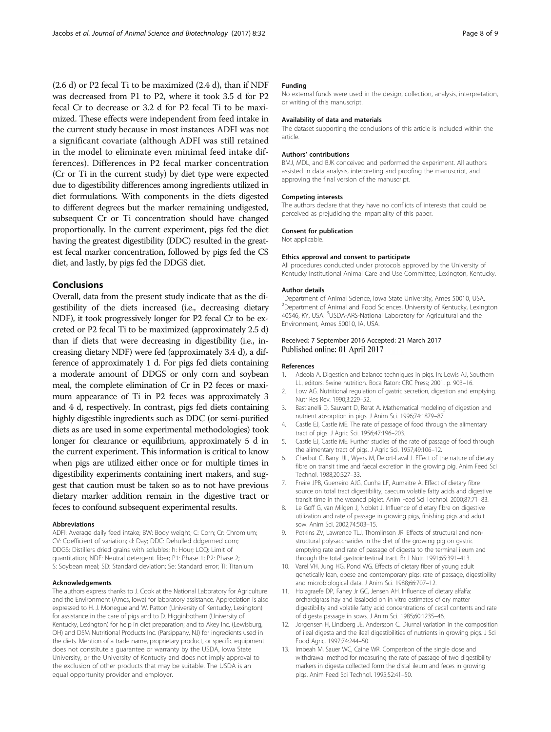<span id="page-7-0"></span>(2.6 d) or P2 fecal Ti to be maximized (2.4 d), than if NDF was decreased from P1 to P2, where it took 3.5 d for P2 fecal Cr to decrease or 3.2 d for P2 fecal Ti to be maximized. These effects were independent from feed intake in the current study because in most instances ADFI was not a significant covariate (although ADFI was still retained in the model to eliminate even minimal feed intake differences). Differences in P2 fecal marker concentration (Cr or Ti in the current study) by diet type were expected due to digestibility differences among ingredients utilized in diet formulations. With components in the diets digested to different degrees but the marker remaining undigested, subsequent Cr or Ti concentration should have changed proportionally. In the current experiment, pigs fed the diet having the greatest digestibility (DDC) resulted in the greatest fecal marker concentration, followed by pigs fed the CS diet, and lastly, by pigs fed the DDGS diet.

# Conclusions

Overall, data from the present study indicate that as the digestibility of the diets increased (i.e., decreasing dietary NDF), it took progressively longer for P2 fecal Cr to be excreted or P2 fecal Ti to be maximized (approximately 2.5 d) than if diets that were decreasing in digestibility (i.e., increasing dietary NDF) were fed (approximately 3.4 d), a difference of approximately 1 d. For pigs fed diets containing a moderate amount of DDGS or only corn and soybean meal, the complete elimination of Cr in P2 feces or maximum appearance of Ti in P2 feces was approximately 3 and 4 d, respectively. In contrast, pigs fed diets containing highly digestible ingredients such as DDC (or semi-purified diets as are used in some experimental methodologies) took longer for clearance or equilibrium, approximately 5 d in the current experiment. This information is critical to know when pigs are utilized either once or for multiple times in digestibility experiments containing inert makers, and suggest that caution must be taken so as to not have previous dietary marker addition remain in the digestive tract or feces to confound subsequent experimental results.

#### Abbreviations

ADFI: Average daily feed intake; BW: Body weight; C: Corn; Cr: Chromium; CV: Coefficient of variation; d: Day; DDC: Dehulled ddgermed corn; DDGS: Distillers dried grains with solubles; h: Hour; LOQ: Limit of quantitation; NDF: Neutral detergent fiber; P1: Phase 1; P2: Phase 2; S: Soybean meal; SD: Standard deviation; Se: Standard error; Ti: Titanium

#### Acknowledgements

The authors express thanks to J. Cook at the National Laboratory for Agriculture and the Environment (Ames, Iowa) for laboratory assistance. Appreciation is also expressed to H. J. Monegue and W. Patton (University of Kentucky, Lexington) for assistance in the care of pigs and to D. Higginbotham (University of Kentucky, Lexington) for help in diet preparation; and to Akey Inc. (Lewisburg, OH) and DSM Nutritional Products Inc. (Parsippany, NJ) for ingredients used in the diets. Mention of a trade name, proprietary product, or specific equipment does not constitute a guarantee or warranty by the USDA, Iowa State University, or the University of Kentucky and does not imply approval to the exclusion of other products that may be suitable. The USDA is an equal opportunity provider and employer.

### Funding

No external funds were used in the design, collection, analysis, interpretation, or writing of this manuscript.

#### Availability of data and materials

The dataset supporting the conclusions of this article is included within the article.

#### Authors' contributions

BMJ, MDL, and BJK conceived and performed the experiment. All authors assisted in data analysis, interpreting and proofing the manuscript, and approving the final version of the manuscript.

#### Competing interests

The authors declare that they have no conflicts of interests that could be perceived as prejudicing the impartiality of this paper.

#### Consent for publication

Not applicable.

## Ethics approval and consent to participate

All procedures conducted under protocols approved by the University of Kentucky Institutional Animal Care and Use Committee, Lexington, Kentucky.

#### Author details

<sup>1</sup>Department of Animal Science, Iowa State University, Ames 50010, USA. <sup>2</sup>Department of Animal and Food Sciences, University of Kentucky, Lexington 40546, KY, USA. <sup>3</sup>USDA-ARS-National Laboratory for Agricultural and the Environment, Ames 50010, IA, USA.

# Received: 7 September 2016 Accepted: 21 March 2017 Published online: 01 April 2017

#### References

- 1. Adeola A. Digestion and balance techniques in pigs. In: Lewis AJ, Southern LL, editors. Swine nutrition. Boca Raton: CRC Press; 2001. p. 903–16.
- 2. Low AG. Nutritional regulation of gastric secretion, digestion and emptying. Nutr Res Rev. 1990;3:229–52.
- 3. Bastianelli D, Sauvant D, Rerat A. Mathematical modeling of digestion and nutrient absorption in pigs. J Anim Sci. 1996;74:1879–87.
- 4. Castle EJ, Castle ME. The rate of passage of food through the alimentary tract of pigs. J Agric Sci. 1956;47:196–203.
- 5. Castle EJ, Castle ME. Further studies of the rate of passage of food through the alimentary tract of pigs. J Agric Sci. 1957;49:106–12.
- 6. Cherbut C, Barry JJL, Wyers M, Delort-Laval J. Effect of the nature of dietary fibre on transit time and faecal excretion in the growing pig. Anim Feed Sci Technol. 1988;20:327–33.
- 7. Freire JPB, Guerreiro AJG, Cunha LF, Aumaitre A. Effect of dietary fibre source on total tract digestibility, caecum volatile fatty acids and digestive transit time in the weaned piglet. Anim Feed Sci Technol. 2000;87:71–83.
- 8. Le Goff G, van Milgen J, Noblet J. Influence of dietary fibre on digestive utilization and rate of passage in growing pigs, finishing pigs and adult sow. Anim Sci. 2002;74:503–15.
- 9. Potkins ZV, Lawrence TLJ, Thomlinson JR. Effects of structural and nonstructural polysaccharides in the diet of the growing pig on gastric emptying rate and rate of passage of digesta to the terminal ileum and through the total gastrointestinal tract. Br J Nutr. 1991;65:391–413.
- 10. Varel VH, Jung HG, Pond WG. Effects of dietary fiber of young adult genetically lean, obese and contemporary pigs: rate of passage, digestibility and microbiological data. J Anim Sci. 1988;66:707–12.
- 11. Holzgraefe DP, Fahey Jr GC, Jensen AH. Influence of dietary alfalfa: orchardgrass hay and lasalocid on in vitro estimates of dry matter digestibility and volatile fatty acid concentrations of cecal contents and rate of digesta passage in sows. J Anim Sci. 1985;60:1235–46.
- 12. Jorgensen H, Lindberg JE, Andersson C. Diurnal variation in the composition of ileal digesta and the ileal digestibilities of nutrients in growing pigs. J Sci Food Agric. 1997;74:244–50.
- 13. Imbeah M, Sauer WC, Caine WR. Comparison of the single dose and withdrawal method for measuring the rate of passage of two digestibility markers in digesta collected form the distal ileum and feces in growing pigs. Anim Feed Sci Technol. 1995;52:41–50.